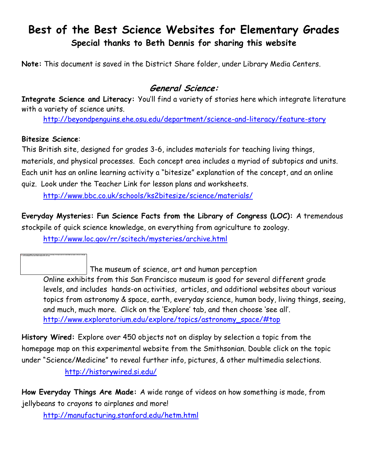# **Best of the Best Science Websites for Elementary Grades Special thanks to Beth Dennis for sharing this website**

**Note:** This document is saved in the District Share folder, under Library Media Centers.

## **General Science:**

**Integrate Science and Literacy:** You"ll find a variety of stories here which integrate literature with a variety of science units.

<http://beyondpenguins.ehe.osu.edu/department/science-and-literacy/feature-story>

#### **Bitesize Science**:

This British site, designed for grades 3-6, includes materials for teaching living things, materials, and physical processes. Each concept area includes a myriad of subtopics and units. Each unit has an online learning activity a "bitesize" explanation of the concept, and an online quiz. Look under the Teacher Link for lesson plans and worksheets.

<http://www.bbc.co.uk/schools/ks2bitesize/science/materials/>

**Everyday Mysteries: Fun Science Facts from the Library of Congress (LOC):** A tremendous

stockpile of quick science knowledge, on everything from agriculture to zoology.

<http://www.loc.gov/rr/scitech/mysteries/archive.html>

The museum of science, art and human perception

Online exhibits from this San Francisco museum is good for several different grade levels, and includes hands-on activities, articles, and additional websites about various topics from astronomy & space, earth, everyday science, human body, living things, seeing, and much, much more. Click on the "Explore" tab, and then choose "see all". [http://www.exploratorium.edu/explore/topics/astronomy\\_space/#top](http://www.exploratorium.edu/explore/topics/astronomy_space/#top)

**History Wired:** Explore over 450 objects not on display by selection a topic from the homepage map on this experimental website from the Smithsonian. Double click on the topic under "Science/Medicine" to reveal further info, pictures, & other multimedia selections. <http://historywired.si.edu/>

**How Everyday Things Are Made:** A wide range of videos on how something is made, from jellybeans to crayons to airplanes and more!

<http://manufacturing.stanford.edu/hetm.html>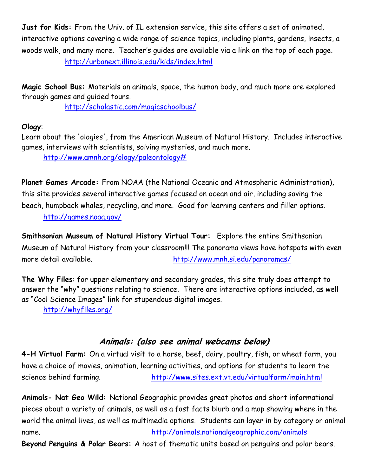**Just for Kids:** From the Univ. of IL extension service, this site offers a set of animated, interactive options covering a wide range of science topics, including plants, gardens, insects, a woods walk, and many more. Teacher"s guides are available via a link on the top of each page. <http://urbanext.illinois.edu/kids/index.html>

**Magic School Bus:** Materials on animals, space, the human body, and much more are explored through games and guided tours.

<http://scholastic.com/magicschoolbus/>

### **Ology**:

Learn about the 'ologies', from the American Museum of Natural History. Includes interactive games, interviews with scientists, solving mysteries, and much more.

[http://www.amnh.org/ology/paleontology#](http://www.amnh.org/ology/paleontology)

**Planet Games Arcade:** From NOAA (the National Oceanic and Atmospheric Administration), this site provides several interactive games focused on ocean and air, including saving the beach, humpback whales, recycling, and more. Good for learning centers and filler options.

<http://games.noaa.gov/>

**Smithsonian Museum of Natural History Virtual Tour:** Explore the entire Smithsonian Museum of Natural History from your classroom!!! The panorama views have hotspots with even more detail available. <http://www.mnh.si.edu/panoramas/>

**The Why Files**: for upper elementary and secondary grades, this site truly does attempt to answer the "why" questions relating to science. There are interactive options included, as well as "Cool Science Images" link for stupendous digital images.

<http://whyfiles.org/>

### **Animals: (also see animal webcams below)**

**4-H Virtual Farm:** On a virtual visit to a horse, beef, dairy, poultry, fish, or wheat farm, you have a choice of movies, animation, learning activities, and options for students to learn the science behind farming. <http://www.sites.ext.vt.edu/virtualfarm/main.html>

**Animals- Nat Geo Wild:** National Geographic provides great photos and short informational pieces about a variety of animals, as well as a fast facts blurb and a map showing where in the world the animal lives, as well as multimedia options. Students can layer in by category or animal name. <http://animals.nationalgeographic.com/animals>

**Beyond Penguins & Polar Bears:** A host of thematic units based on penguins and polar bears.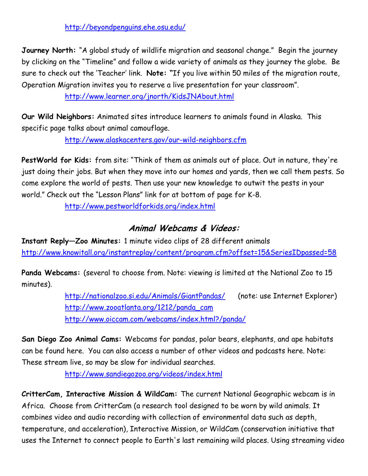#### <http://beyondpenguins.ehe.osu.edu/>

**Journey North:** "A global study of wildlife migration and seasonal change." Begin the journey by clicking on the "Timeline" and follow a wide variety of animals as they journey the globe. Be sure to check out the "Teacher" link. **Note: "**If you live within 50 miles of the migration [route,](http://www.learner.org/jnorth/images/graphics/crane/map/new_route_edit2_om.jpg) Operation Migration invites you to reserve a live presentation for your classroom".

#### <http://www.learner.org/jnorth/KidsJNAbout.html>

**Our Wild Neighbors:** Animated sites introduce learners to animals found in Alaska. This specific page talks about animal camouflage.

<http://www.alaskacenters.gov/our-wild-neighbors.cfm>

**PestWorld for Kids:** from site: "Think of them as animals out of place. Out in nature, they're just doing their jobs. But when they move into our homes and yards, then we call them pests. So come explore the world of pests. Then use your new knowledge to outwit the pests in your world." Check out the "Lesson Plans" link for at bottom of page for K-8.

<http://www.pestworldforkids.org/index.html>

### **Animal Webcams & Videos:**

**Instant Reply—Zoo Minutes:** 1 minute video clips of 28 different animals <http://www.knowitall.org/instantreplay/content/program.cfm?offset=15&SeriesIDpassed=58>

**Panda Webcams:** (several to choose from. Note: viewing is limited at the National Zoo to 15 minutes).

> <http://nationalzoo.si.edu/Animals/GiantPandas/> (note: use Internet Explorer) [http://www.zooatlanta.org/1212/panda\\_cam](http://www.zooatlanta.org/1212/panda_cam) <http://www.oiccam.com/webcams/index.html?/panda/>

**San Diego Zoo Animal Cams:** Webcams for pandas, polar bears, elephants, and ape habitats can be found here. You can also access a number of other videos and podcasts here. Note: These stream live, so may be slow for individual searches.

<http://www.sandiegozoo.org/videos/index.html>

**CritterCam, Interactive Mission & WildCam:** The current National Geographic webcam is in Africa. Choose from CritterCam (a research tool designed to be worn by wild animals. It combines video and audio recording with collection of environmental data such as depth, temperature, and acceleration), Interactive Mission, or WildCam (conservation initiative that uses the Internet to connect people to Earth's last remaining wild places. Using streaming video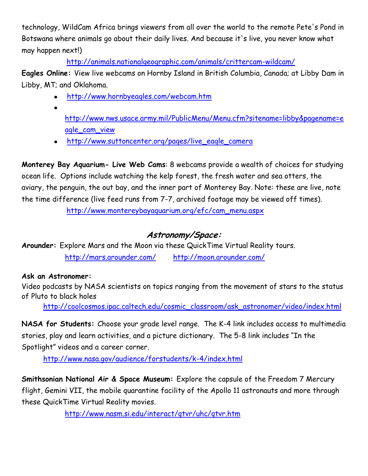technology, WildCam Africa brings viewers from all over the world to the remote Pete's Pond in Botswana where animals go about their daily lives. And because it's live, you never know what may happen next!)

<http://animals.nationalgeographic.com/animals/crittercam-wildcam/>

**Eagles Online:** View live webcams on Hornby Island in British Columbia, Canada; at Libby Dam in Libby, MT; and Oklahoma.

- <http://www.hornbyeagles.com/webcam.htm>
- $\bullet$

[http://www.nws.usace.army.mil/PublicMenu/Menu.cfm?sitename=libby&pagename=e](http://www.nws.usace.army.mil/PublicMenu/Menu.cfm?sitename=libby&pagename=eagle_cam_view) [agle\\_cam\\_view](http://www.nws.usace.army.mil/PublicMenu/Menu.cfm?sitename=libby&pagename=eagle_cam_view)

[http://www.suttoncenter.org/pages/live\\_eagle\\_camera](http://www.suttoncenter.org/pages/live_eagle_camera)

**Monterey Bay Aquarium- Live Web Cams**: 8 webcams provide a wealth of choices for studying ocean life. Options include watching the kelp forest, the fresh water and sea otters, the aviary, the penguin, the out bay, and the inner part of Monterey Bay. Note: these are live, note the time difference (live feed runs from 7-7, archived footage may be viewed off times).

[http://www.montereybayaquarium.org/efc/cam\\_menu.aspx](http://www.montereybayaquarium.org/efc/cam_menu.aspx)

# **Astronomy/Space:**

**Arounder:** Explore Mars and the Moon via these QuickTime Virtual Reality tours. <http://mars.arounder.com/> <http://moon.arounder.com/>

### **Ask an Astronomer:**

Video podcasts by NASA scientists on topics ranging from the movement of stars to the status of Pluto to black holes

[http://coolcosmos.ipac.caltech.edu/cosmic\\_classroom/ask\\_astronomer/video/index.html](http://coolcosmos.ipac.caltech.edu/cosmic_classroom/ask_astronomer/video/index.html)

**NASA for Students:** Choose your grade level range. The K-4 link includes access to multimedia stories, play and learn activities, and a picture dictionary. The 5-8 link includes "In the Spotlight" videos and a career corner.

<http://www.nasa.gov/audience/forstudents/k-4/index.html>

**Smithsonian National Air & Space Museum:** Explore the capsule of the Freedom 7 Mercury flight, Gemini VII, the mobile quarantine facility of the Apollo 11 astronauts and more through these QuickTime Virtual Reality movies.

<http://www.nasm.si.edu/interact/qtvr/uhc/qtvr.htm>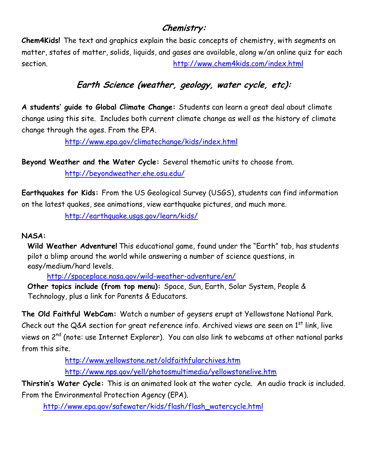### **Chemistry:**

**Chem4Kids!** The text and graphics explain the basic concepts of chemistry, with segments on matter, states of matter, solids, liquids, and gases are available, along w/an online quiz for each section. <http://www.chem4kids.com/index.html>

# **Earth Science (weather, geology, water cycle, etc):**

**A students' guide to Global Climate Change:** Students can learn a great deal about climate change using this site. Includes both current climate change as well as the history of climate change through the ages. From the EPA.

<http://www.epa.gov/climatechange/kids/index.html>

**Beyond Weather and the Water Cycle:** Several thematic units to choose from. <http://beyondweather.ehe.osu.edu/>

**Earthquakes for Kids:** From the US Geological Survey (USGS), students can find information on the latest quakes, see animations, view earthquake pictures, and much more.

<http://earthquake.usgs.gov/learn/kids/>

#### **NASA:**

Wild Weather Adventure! This educational game, found under the "Earth" tab, has students pilot a blimp around the world while answering a number of science questions, in easy/medium/hard levels.

<http://spaceplace.nasa.gov/wild-weather-adventure/en/>

**Other topics include (from top menu):** Space, Sun, Earth, Solar System, People & Technology, plus a link for Parents & Educators.

**The Old Faithful WebCam:** Watch a number of geysers erupt at Yellowstone National Park. Check out the Q&A section for great reference info. Archived views are seen on  $1<sup>st</sup>$  link, live views on 2<sup>nd</sup> (note: use Internet Explorer). You can also link to webcams at other national parks from this site.

> <http://www.yellowstone.net/oldfaithfularchives.htm> <http://www.nps.gov/yell/photosmultimedia/yellowstonelive.htm>

**Thirstin's Water Cycle:** This is an animated look at the water cycle. An audio track is included. From the Environmental Protection Agency (EPA).

[http://www.epa.gov/safewater/kids/flash/flash\\_watercycle.html](http://www.epa.gov/safewater/kids/flash/flash_watercycle.html)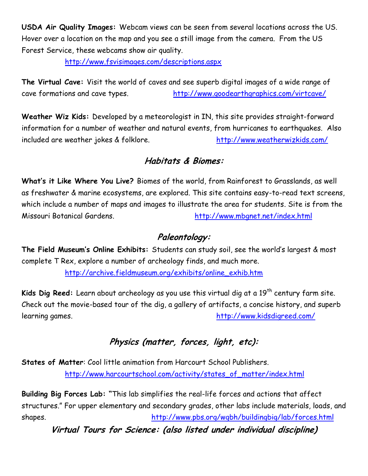**USDA Air Quality Images:** Webcam views can be seen from several locations across the US. Hover over a location on the map and you see a still image from the camera. From the US Forest Service, these webcams show air quality.

<http://www.fsvisimages.com/descriptions.aspx>

**The Virtual Cave:** Visit the world of caves and see superb digital images of a wide range of cave formations and cave types. <http://www.goodearthgraphics.com/virtcave/>

**Weather Wiz Kids:** Developed by a meteorologist in IN, this site provides straight-forward information for a number of weather and natural events, from hurricanes to earthquakes. Also included are weather jokes & folklore. <http://www.weatherwizkids.com/>

### **Habitats & Biomes:**

**What's it Like Where You Live?** Biomes of the world, from Rainforest to Grasslands, as well as freshwater & marine ecosystems, are explored. This site contains easy-to-read text screens, which include a number of maps and images to illustrate the area for students. Site is from the Missouri Botanical Gardens. <http://www.mbgnet.net/index.html>

### **Paleontology:**

**The Field Museum's Online Exhibits:** Students can study soil, see the world"s largest & most complete T Rex, explore a number of archeology finds, and much more.

[http://archive.fieldmuseum.org/exhibits/online\\_exhib.htm](http://archive.fieldmuseum.org/exhibits/online_exhib.htm)

**Kids Dig Reed:** Learn about archeology as you use this virtual dig at a 19<sup>th</sup> century farm site. Check out the movie-based tour of the dig, a gallery of artifacts, a concise history, and superb learning games. <http://www.kidsdigreed.com/>

# **Physics (matter, forces, light, etc):**

**States of Matter**: Cool little animation from Harcourt School Publishers. [http://www.harcourtschool.com/activity/states\\_of\\_matter/index.html](http://www.harcourtschool.com/activity/states_of_matter/index.html)

**Building Big Forces Lab: "**This lab simplifies the real-life forces and actions that affect structures." For upper elementary and secondary grades, other labs include materials, loads, and shapes. <http://www.pbs.org/wgbh/buildingbig/lab/forces.html>

**Virtual Tours for Science: (also listed under individual discipline)**